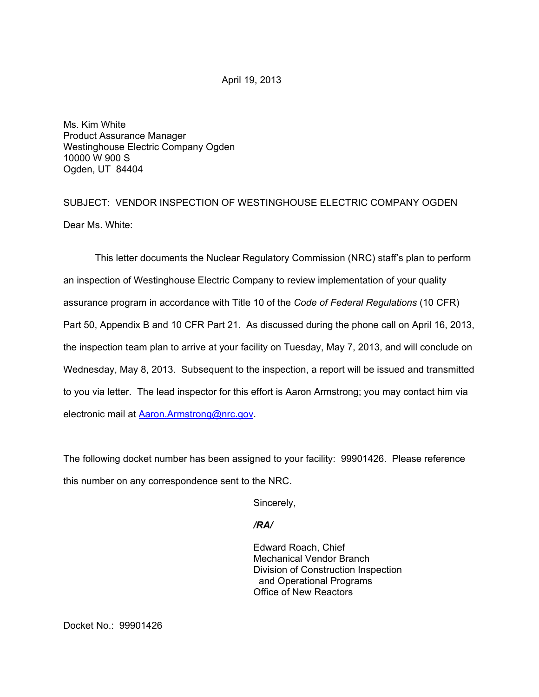April 19, 2013

Ms. Kim White Product Assurance Manager Westinghouse Electric Company Ogden 10000 W 900 S Ogden, UT 84404

SUBJECT: VENDOR INSPECTION OF WESTINGHOUSE ELECTRIC COMPANY OGDEN Dear Ms. White:

This letter documents the Nuclear Regulatory Commission (NRC) staff's plan to perform an inspection of Westinghouse Electric Company to review implementation of your quality assurance program in accordance with Title 10 of the *Code of Federal Regulations* (10 CFR) Part 50, Appendix B and 10 CFR Part 21. As discussed during the phone call on April 16, 2013, the inspection team plan to arrive at your facility on Tuesday, May 7, 2013, and will conclude on Wednesday, May 8, 2013. Subsequent to the inspection, a report will be issued and transmitted to you via letter. The lead inspector for this effort is Aaron Armstrong; you may contact him via electronic mail at **Aaron.Armstrong@nrc.gov.** 

The following docket number has been assigned to your facility: 99901426. Please reference this number on any correspondence sent to the NRC.

Sincerely,

## */RA/*

Edward Roach, Chief Mechanical Vendor Branch Division of Construction Inspection and Operational Programs Office of New Reactors

Docket No.: 99901426